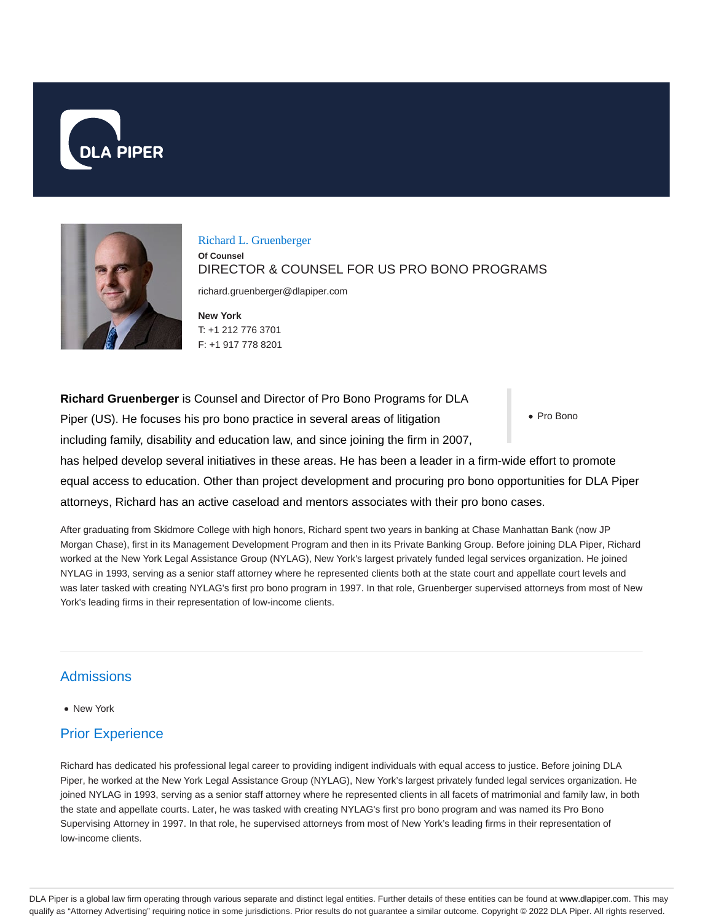



Richard L. Gruenberger **Of Counsel** DIRECTOR & COUNSEL FOR US PRO BONO PROGRAMS

richard.gruenberger@dlapiper.com

**New York** T: +1 212 776 3701 F: +1 917 778 8201

Pro Bono **Richard Gruenberger** is Counsel and Director of Pro Bono Programs for DLA Piper (US). He focuses his pro bono practice in several areas of litigation including family, disability and education law, and since joining the firm in 2007, has helped develop several initiatives in these areas. He has been a leader in a firm-wide effort to promote equal access to education. Other than project development and procuring pro bono opportunities for DLA Piper attorneys, Richard has an active caseload and mentors associates with their pro bono cases.

After graduating from Skidmore College with high honors, Richard spent two years in banking at Chase Manhattan Bank (now JP Morgan Chase), first in its Management Development Program and then in its Private Banking Group. Before joining DLA Piper, Richard worked at the New York Legal Assistance Group (NYLAG), New York's largest privately funded legal services organization. He joined NYLAG in 1993, serving as a senior staff attorney where he represented clients both at the state court and appellate court levels and was later tasked with creating NYLAG's first pro bono program in 1997. In that role, Gruenberger supervised attorneys from most of New York's leading firms in their representation of low-income clients.

# **Admissions**

• New York

# Prior Experience

Richard has dedicated his professional legal career to providing indigent individuals with equal access to justice. Before joining DLA Piper, he worked at the New York Legal Assistance Group (NYLAG), New York's largest privately funded legal services organization. He joined NYLAG in 1993, serving as a senior staff attorney where he represented clients in all facets of matrimonial and family law, in both the state and appellate courts. Later, he was tasked with creating NYLAG's first pro bono program and was named its Pro Bono Supervising Attorney in 1997. In that role, he supervised attorneys from most of New York's leading firms in their representation of low-income clients.

DLA Piper is a global law firm operating through various separate and distinct legal entities. Further details of these entities can be found at www.dlapiper.com. This may qualify as "Attorney Advertising" requiring notice in some jurisdictions. Prior results do not guarantee a similar outcome. Copyright © 2022 DLA Piper. All rights reserved.